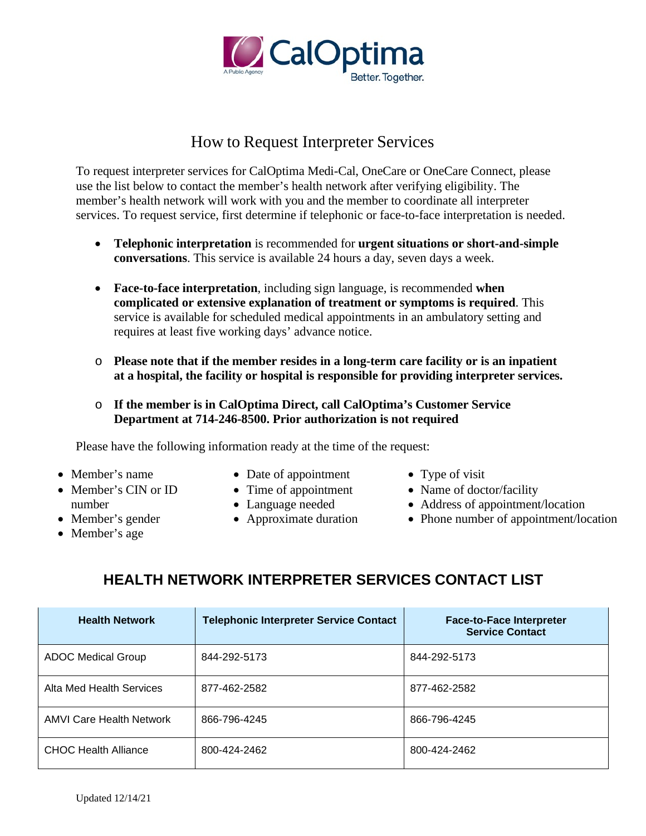

## How to Request Interpreter Services

To request interpreter services for CalOptima Medi-Cal, OneCare or OneCare Connect, please use the list below to contact the member's health network after verifying eligibility. The member's health network will work with you and the member to coordinate all interpreter services. To request service, first determine if telephonic or face-to-face interpretation is needed.

- **Telephonic interpretation** is recommended for **urgent situations or short-and-simple conversations**. This service is available 24 hours a day, seven days a week.
- **Face-to-face interpretation**, including sign language, is recommended **when complicated or extensive explanation of treatment or symptoms is required**. This service is available for scheduled medical appointments in an ambulatory setting and requires at least five working days' advance notice.
- o **Please note that if the member resides in a long-term care facility or is an inpatient at a hospital, the facility or hospital is responsible for providing interpreter services.**
- o **If the member is in CalOptima Direct, call CalOptima's Customer Service Department at 714-246-8500. Prior authorization is not required**

Please have the following information ready at the time of the request:

- Member's name
- Member's CIN or ID number
- Member's gender
- Member's age
- Date of appointment
- Time of appointment
- Language needed
- Approximate duration
- Type of visit
- Name of doctor/facility
- Address of appointment/location
- Phone number of appointment/location

## **HEALTH NETWORK INTERPRETER SERVICES CONTACT LIST**

| <b>Health Network</b>           | <b>Telephonic Interpreter Service Contact</b> | <b>Face-to-Face Interpreter</b><br><b>Service Contact</b> |
|---------------------------------|-----------------------------------------------|-----------------------------------------------------------|
| <b>ADOC Medical Group</b>       | 844-292-5173                                  | 844-292-5173                                              |
| Alta Med Health Services        | 877-462-2582                                  | 877-462-2582                                              |
| <b>AMVI Care Health Network</b> | 866-796-4245                                  | 866-796-4245                                              |
| <b>CHOC Health Alliance</b>     | 800-424-2462                                  | 800-424-2462                                              |